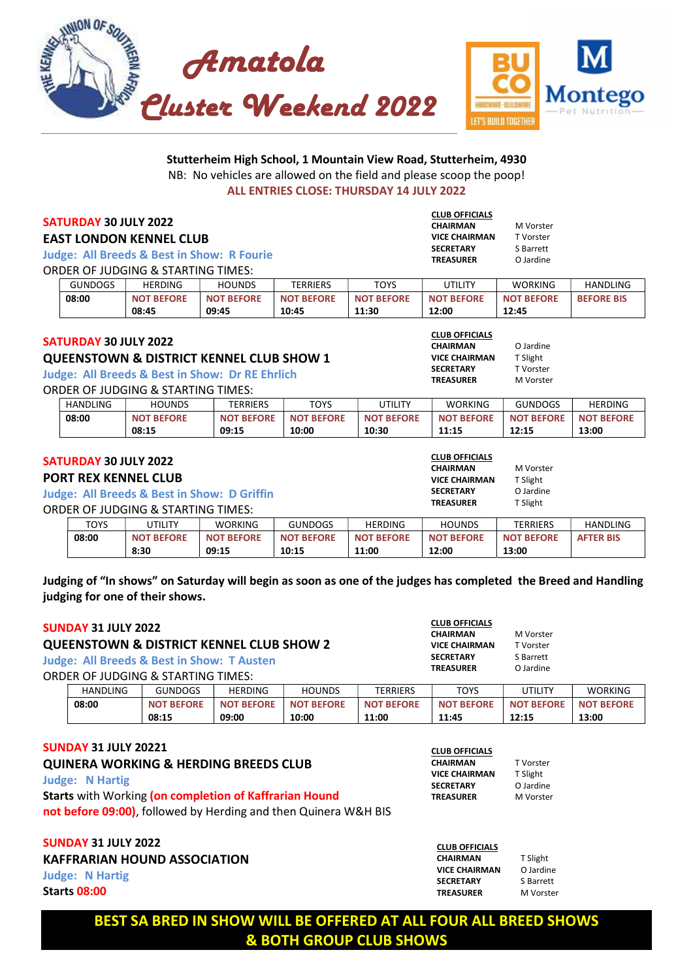



#### Stutterheim High School, 1 Mountain View Road, Stutterheim, 4930 NB: No vehicles are allowed on the field and please scoop the poop! ALL ENTRIES CLOSE: THURSDAY 14 JULY 2022

#### SATURDAY 30 JULY 2022

#### EAST LONDON KENNEL CLUB

Judge: All Breeds & Best in Show: R Fourie ORDER OF JUDGING & STARTING TIMES:

| <b>GUNDOGS</b> | <b>HERDING</b>    | <b>HOUNDS</b>     | TERRIERS          | TOYS              | UTILITY           | <b>WORKING</b>    | <b>HANDLING</b>   |
|----------------|-------------------|-------------------|-------------------|-------------------|-------------------|-------------------|-------------------|
| 08:00          | <b>NOT BEFORE</b> | <b>NOT BEFORE</b> | <b>NOT BEFORE</b> | <b>NOT BEFORE</b> | <b>NOT BEFORE</b> | <b>NOT BEFORE</b> | <b>BEFORE BIS</b> |
|                | 08:45             | 09:45             | 10:45             | 11:30             | 12:00             | 12:45             |                   |

#### SATURDAY 30 JULY 2022

#### QUEENSTOWN & DISTRICT KENNEL CLUB SHOW 1

Judge: All Breeds & Best in Show: Dr RE Ehrlich

ORDER OF JUDGING & STARTING TIMES:

| <b>HANDLING</b> | <b>HOUNDS</b>     | TERRIERS          | TOYS              | JTILITY           | <b>WORKING</b>    | <b>GUNDOGS</b>                | <b>HERDING</b>               |
|-----------------|-------------------|-------------------|-------------------|-------------------|-------------------|-------------------------------|------------------------------|
| 08:00           | <b>NOT BEFORE</b> | <b>NOT BEFORE</b> | <b>NOT BEFORE</b> | <b>NOT BEFORE</b> | <b>NOT BEFORE</b> | <b>T BEFORE</b><br><b>NOT</b> | <b>T BEFORE</b><br><b>NO</b> |
|                 | 08:15             | 09:15             | 10:00             | 10:30             | 11:15             | 12:15                         | 13:00                        |

# SATURDAY 30 JULY 2022

### PORT REX KENNEL CLUB

Judge: All Breeds & Best in Show: D Griffin

ORDER OF JUDGING & STARTING TIMES:

| TOYS  | JTILITY           | WORKING           | <b>GUNDOGS</b>    | <b>HERDING</b>    | <b>HOUNDS</b>     | <b>TERRIERS</b>   | HANDLING         |
|-------|-------------------|-------------------|-------------------|-------------------|-------------------|-------------------|------------------|
| 08:00 | <b>NOT BEFORE</b> | <b>NOT BEFORE</b> | <b>NOT BEFORE</b> | <b>NOT BEFORE</b> | <b>NOT BEFORE</b> | <b>NOT BEFORE</b> | <b>AFTER BIS</b> |
|       | 8:30              | 09:15             | 10:15             | 11:00             | 12:00             | 13:00             |                  |

Judging of "In shows" on Saturday will begin as soon as one of the judges has completed the Breed and Handling judging for one of their shows.

| <b>SUNDAY 31 JULY 2022</b><br><b>QUEENSTOWN &amp; DISTRICT KENNEL CLUB SHOW 2</b><br><b>Judge: All Breeds &amp; Best in Show: T Austen</b><br>ORDER OF JUDGING & STARTING TIMES: |          |                   |                   |                   |                   | <b>CLUB OFFICIALS</b><br><b>CHAIRMAN</b><br><b>VICE CHAIRMAN</b><br><b>SECRETARY</b><br><b>TREASURER</b> | M Vorster<br>T Vorster<br>S Barrett<br>O Jardine |                   |
|----------------------------------------------------------------------------------------------------------------------------------------------------------------------------------|----------|-------------------|-------------------|-------------------|-------------------|----------------------------------------------------------------------------------------------------------|--------------------------------------------------|-------------------|
|                                                                                                                                                                                  | HANDLING | <b>GUNDOGS</b>    | HERDING           | <b>HOUNDS</b>     | <b>TERRIERS</b>   | <b>TOYS</b>                                                                                              | UTILITY                                          | <b>WORKING</b>    |
|                                                                                                                                                                                  | 08:00    | <b>NOT BEFORE</b> | <b>NOT BEFORE</b> | <b>NOT BEFORE</b> | <b>NOT BEFORE</b> | <b>NOT BEFORE</b>                                                                                        | <b>NOT BEFORE</b>                                | <b>NOT BEFORE</b> |
|                                                                                                                                                                                  |          | 08:15             | 09:00             | 10:00             | 11:00             | 11:45                                                                                                    | 12:15                                            | 13:00             |

#### SUNDAY 31 JULY 20221

QUINERA WORKING & HERDING BREEDS CLUB Judge: N Hartig Starts with Working (on completion of Kaffrarian Hound not before 09:00), followed by Herding and then Quinera W&H BIS

SUNDAY 31 JULY 2022 KAFFRARIAN HOUND ASSOCIATION Judge: N Hartig

Starts 08:00

| VICE CHAIRMAN | T Slight  |  |  |
|---------------|-----------|--|--|
| SECRETARY     | O Jardine |  |  |
| TREASURER     | M Vorster |  |  |
|               |           |  |  |
|               |           |  |  |
|               |           |  |  |

CHAIRMAN T Vorster

CLUB OFFICIALS

| <b>CLUB OFFICIALS</b> |           |
|-----------------------|-----------|
| <b>CHAIRMAN</b>       | T Slight  |
| <b>VICE CHAIRMAN</b>  | O Jardine |
| <b>SECRETARY</b>      | S Barrett |
| <b>TREASURER</b>      | M Vorster |

BEST SA BRED IN SHOW WILL BE OFFERED AT ALL FOUR ALL BREED SHOWS & BOTH GROUP CLUB SHOWS

CLUB OFFICIALS CHAIRMAN O Jardine VICE CHAIRMAN T Slight SECRETARY T Vorster TREASURER M Vorster

CHAIRMAN M Vorster **VICE CHAIRMAN** TVorster<br>**SECRETARY** S Barrett

TREASURER O Jardine

CLUB OFFICIALS

**SECRETARY** 

CLUB OFFICIALS CHAIRMAN M Vorster VICE CHAIRMAN T Slight **SECRETARY** O Jardine<br> **TREASURER** T Slight **TREASURER**